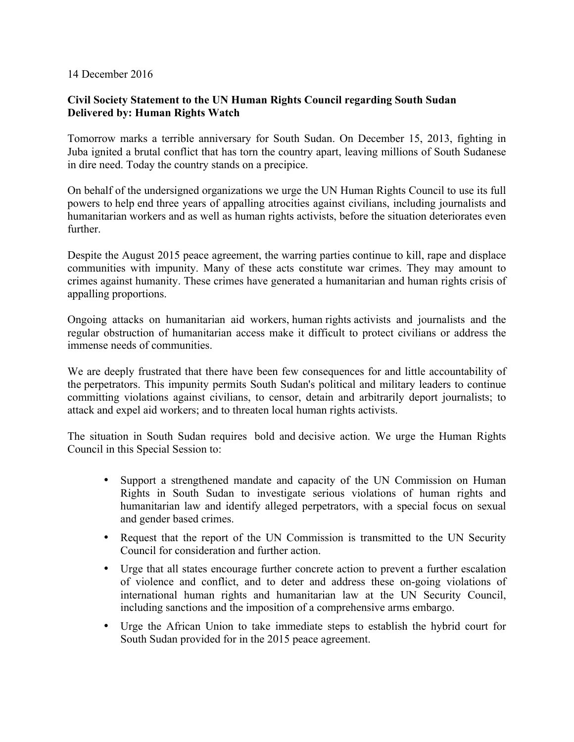## 14 December 2016

## **Civil Society Statement to the UN Human Rights Council regarding South Sudan Delivered by: Human Rights Watch**

Tomorrow marks a terrible anniversary for South Sudan. On December 15, 2013, fighting in Juba ignited a brutal conflict that has torn the country apart, leaving millions of South Sudanese in dire need. Today the country stands on a precipice.

On behalf of the undersigned organizations we urge the UN Human Rights Council to use its full powers to help end three years of appalling atrocities against civilians, including journalists and humanitarian workers and as well as human rights activists, before the situation deteriorates even further.

Despite the August 2015 peace agreement, the warring parties continue to kill, rape and displace communities with impunity. Many of these acts constitute war crimes. They may amount to crimes against humanity. These crimes have generated a humanitarian and human rights crisis of appalling proportions.

Ongoing attacks on humanitarian aid workers, human rights activists and journalists and the regular obstruction of humanitarian access make it difficult to protect civilians or address the immense needs of communities.

We are deeply frustrated that there have been few consequences for and little accountability of the perpetrators. This impunity permits South Sudan's political and military leaders to continue committing violations against civilians, to censor, detain and arbitrarily deport journalists; to attack and expel aid workers; and to threaten local human rights activists.

The situation in South Sudan requires bold and decisive action. We urge the Human Rights Council in this Special Session to:

- Support a strengthened mandate and capacity of the UN Commission on Human Rights in South Sudan to investigate serious violations of human rights and humanitarian law and identify alleged perpetrators, with a special focus on sexual and gender based crimes.
- Request that the report of the UN Commission is transmitted to the UN Security Council for consideration and further action.
- Urge that all states encourage further concrete action to prevent a further escalation of violence and conflict, and to deter and address these on-going violations of international human rights and humanitarian law at the UN Security Council, including sanctions and the imposition of a comprehensive arms embargo.
- Urge the African Union to take immediate steps to establish the hybrid court for South Sudan provided for in the 2015 peace agreement.